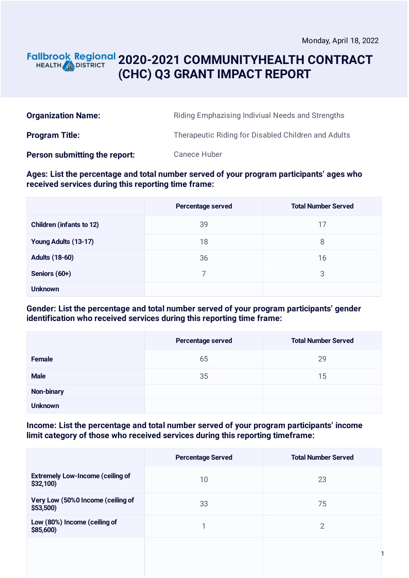### **2020-2021 COMMUNITYHEALTH CONTRACT** HEALTH **AND DISTRICT (CHC) Q3 GRANT IMPACT REPORT**

| <b>Organization Name:</b>     | Riding Emphazising Indiviual Needs and Strengths    |
|-------------------------------|-----------------------------------------------------|
| <b>Program Title:</b>         | Therapeutic Riding for Disabled Children and Adults |
| Person submitting the report: | <b>Canece Huber</b>                                 |

### **Ages: List the percentage and total number served of your program participants' ages who received services during this reporting time frame:**

|                                 | Percentage served | <b>Total Number Served</b> |
|---------------------------------|-------------------|----------------------------|
| <b>Children (infants to 12)</b> | 39                | 17                         |
| Young Adults (13-17)            | 18                | 8                          |
| <b>Adults (18-60)</b>           | 36                | 16                         |
| Seniors (60+)                   |                   | 3                          |
| <b>Unknown</b>                  |                   |                            |

### **Gender: List the percentage and total number served of your program participants' gender identification who received services during this reporting time frame:**

|                   | Percentage served | <b>Total Number Served</b> |
|-------------------|-------------------|----------------------------|
| <b>Female</b>     | 65                | 29                         |
| <b>Male</b>       | 35                | 15                         |
| <b>Non-binary</b> |                   |                            |
| <b>Unknown</b>    |                   |                            |

#### **Income: List the percentage and total number served of your program participants' income limit category of those who received services during this reporting timeframe:**

|                                                     | <b>Percentage Served</b> | <b>Total Number Served</b> |
|-----------------------------------------------------|--------------------------|----------------------------|
| <b>Extremely Low-Income (ceiling of</b><br>\$32,100 | 10                       | 23                         |
| Very Low (50%0 Income (ceiling of<br>\$53,500       | 33                       | 75                         |
| Low (80%) Income (ceiling of<br>\$85,600)           |                          | 2                          |
|                                                     |                          |                            |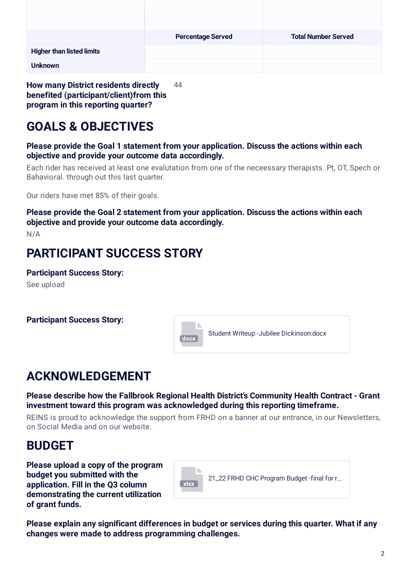|                                  | <b>Percentage Served</b> | <b>Total Number Served</b> |
|----------------------------------|--------------------------|----------------------------|
| <b>Higher than listed limits</b> |                          |                            |
| <b>Unknown</b>                   |                          |                            |

**How many District residents directly benefited (participant/client)from this program in this reporting quarter?** 44

# **GOALS & OBJECTIVES**

**Please provide the Goal 1 statement from your application. Discuss the actions within each objective and provide your outcome data accordingly.**

Each rider has received at least one evalutation from one of the neceessary therapists. Pt, OT, Spech or Bahavioral. through out this last quarter.

Our riders have met 85% of their goals.

**Please provide the Goal 2 statement from your application. Discuss the actions within each objective and provide your outcome data accordingly.**

N/A

## **PARTICIPANT SUCCESS STORY**

**Participant Success Story:** See upload



## **ACKNOWLEDGEMENT**

**Please describe how the Fallbrook Regional Health District's Community Health Contract - Grant investment toward this program was acknowledged during this reporting timeframe.**

REINS is proud to acknowledge the support from FRHD on a banner at our entrance, in our Newsletters, on Social Media and on our website.

### **BUDGET**

**Please upload a copy of the program budget you submitted with the application. Fill in the Q3 column demonstrating the current utilization of grant funds.**



**Please explain any significant differences in budget or services during this quarter. What if any changes were made to address programming challenges.**